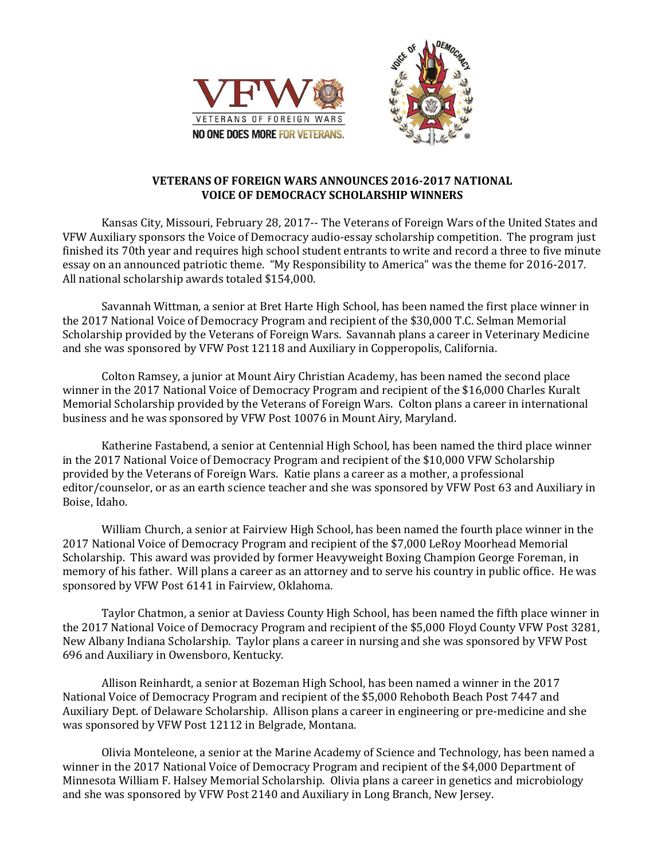



## **VETERANS OF FOREIGN WARS ANNOUNCES 2016-2017 NATIONAL VOICE OF DEMOCRACY SCHOLARSHIP WINNERS**

Kansas City, Missouri, February 28, 2017-- The Veterans of Foreign Wars of the United States and VFW Auxiliary sponsors the Voice of Democracy audio-essay scholarship competition. The program just finished its 70th year and requires high school student entrants to write and record a three to five minute essay on an announced patriotic theme. "My Responsibility to America" was the theme for 2016-2017. All national scholarship awards totaled \$154,000.

Savannah Wittman, a senior at Bret Harte High School, has been named the first place winner in the 2017 National Voice of Democracy Program and recipient of the \$30,000 T.C. Selman Memorial Scholarship provided by the Veterans of Foreign Wars. Savannah plans a career in Veterinary Medicine and she was sponsored by VFW Post 12118 and Auxiliary in Copperopolis, California.

Colton Ramsey, a junior at Mount Airy Christian Academy, has been named the second place winner in the 2017 National Voice of Democracy Program and recipient of the \$16,000 Charles Kuralt Memorial Scholarship provided by the Veterans of Foreign Wars. Colton plans a career in international business and he was sponsored by VFW Post 10076 in Mount Airy, Maryland.

Katherine Fastabend, a senior at Centennial High School, has been named the third place winner in the 2017 National Voice of Democracy Program and recipient of the \$10,000 VFW Scholarship provided by the Veterans of Foreign Wars. Katie plans a career as a mother, a professional editor/counselor, or as an earth science teacher and she was sponsored by VFW Post 63 and Auxiliary in Boise, Idaho.

William Church, a senior at Fairview High School, has been named the fourth place winner in the 2017 National Voice of Democracy Program and recipient of the \$7,000 LeRoy Moorhead Memorial Scholarship. This award was provided by former Heavyweight Boxing Champion George Foreman, in memory of his father. Will plans a career as an attorney and to serve his country in public office. He was sponsored by VFW Post 6141 in Fairview, Oklahoma.

Taylor Chatmon, a senior at Daviess County High School, has been named the fifth place winner in the 2017 National Voice of Democracy Program and recipient of the \$5,000 Floyd County VFW Post 3281, New Albany Indiana Scholarship. Taylor plans a career in nursing and she was sponsored by VFW Post 696 and Auxiliary in Owensboro, Kentucky.

Allison Reinhardt, a senior at Bozeman High School, has been named a winner in the 2017 National Voice of Democracy Program and recipient of the \$5,000 Rehoboth Beach Post 7447 and Auxiliary Dept. of Delaware Scholarship. Allison plans a career in engineering or pre-medicine and she was sponsored by VFW Post 12112 in Belgrade, Montana.

Olivia Monteleone, a senior at the Marine Academy of Science and Technology, has been named a winner in the 2017 National Voice of Democracy Program and recipient of the \$4,000 Department of Minnesota William F. Halsey Memorial Scholarship. Olivia plans a career in genetics and microbiology and she was sponsored by VFW Post 2140 and Auxiliary in Long Branch, New Jersey.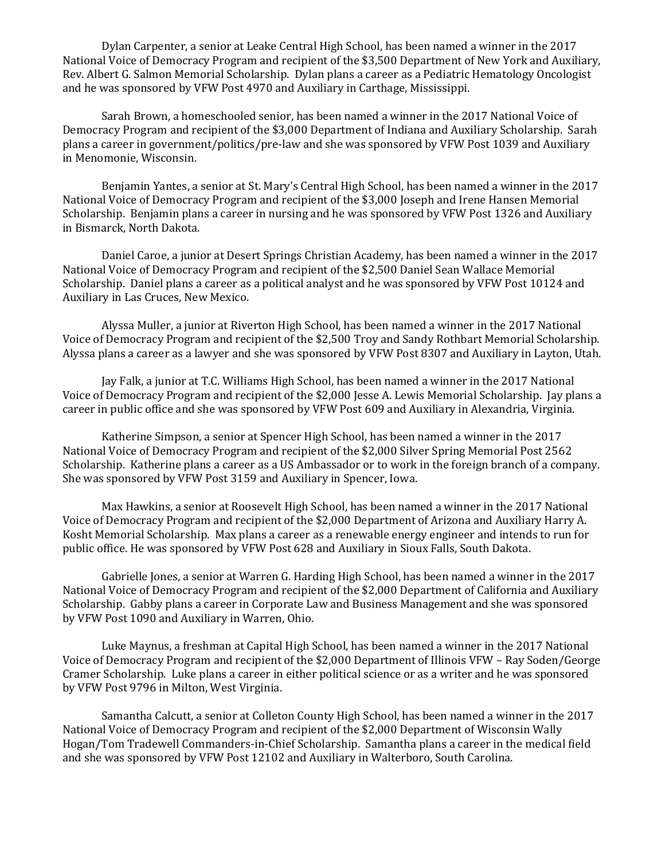Dylan Carpenter, a senior at Leake Central High School, has been named a winner in the 2017 National Voice of Democracy Program and recipient of the \$3,500 Department of New York and Auxiliary, Rev. Albert G. Salmon Memorial Scholarship. Dylan plans a career as a Pediatric Hematology Oncologist and he was sponsored by VFW Post 4970 and Auxiliary in Carthage, Mississippi.

Sarah Brown, a homeschooled senior, has been named a winner in the 2017 National Voice of Democracy Program and recipient of the \$3,000 Department of Indiana and Auxiliary Scholarship. Sarah plans a career in government/politics/pre-law and she was sponsored by VFW Post 1039 and Auxiliary in Menomonie, Wisconsin.

Benjamin Yantes, a senior at St. Mary's Central High School, has been named a winner in the 2017 National Voice of Democracy Program and recipient of the \$3,000 Joseph and Irene Hansen Memorial Scholarship. Benjamin plans a career in nursing and he was sponsored by VFW Post 1326 and Auxiliary in Bismarck, North Dakota.

Daniel Caroe, a junior at Desert Springs Christian Academy, has been named a winner in the 2017 National Voice of Democracy Program and recipient of the \$2,500 Daniel Sean Wallace Memorial Scholarship. Daniel plans a career as a political analyst and he was sponsored by VFW Post 10124 and Auxiliary in Las Cruces, New Mexico.

Alyssa Muller, a junior at Riverton High School, has been named a winner in the 2017 National Voice of Democracy Program and recipient of the \$2,500 Troy and Sandy Rothbart Memorial Scholarship. Alyssa plans a career as a lawyer and she was sponsored by VFW Post 8307 and Auxiliary in Layton, Utah.

Jay Falk, a junior at T.C. Williams High School, has been named a winner in the 2017 National Voice of Democracy Program and recipient of the \$2,000 Jesse A. Lewis Memorial Scholarship. Jay plans a career in public office and she was sponsored by VFW Post 609 and Auxiliary in Alexandria, Virginia.

Katherine Simpson, a senior at Spencer High School, has been named a winner in the 2017 National Voice of Democracy Program and recipient of the \$2,000 Silver Spring Memorial Post 2562 Scholarship. Katherine plans a career as a US Ambassador or to work in the foreign branch of a company. She was sponsored by VFW Post 3159 and Auxiliary in Spencer, Iowa.

Max Hawkins, a senior at Roosevelt High School, has been named a winner in the 2017 National Voice of Democracy Program and recipient of the \$2,000 Department of Arizona and Auxiliary Harry A. Kosht Memorial Scholarship. Max plans a career as a renewable energy engineer and intends to run for public office. He was sponsored by VFW Post 628 and Auxiliary in Sioux Falls, South Dakota.

Gabrielle Jones, a senior at Warren G. Harding High School, has been named a winner in the 2017 National Voice of Democracy Program and recipient of the \$2,000 Department of California and Auxiliary Scholarship. Gabby plans a career in Corporate Law and Business Management and she was sponsored by VFW Post 1090 and Auxiliary in Warren, Ohio.

Luke Maynus, a freshman at Capital High School, has been named a winner in the 2017 National Voice of Democracy Program and recipient of the \$2,000 Department of Illinois VFW – Ray Soden/George Cramer Scholarship. Luke plans a career in either political science or as a writer and he was sponsored by VFW Post 9796 in Milton, West Virginia.

Samantha Calcutt, a senior at Colleton County High School, has been named a winner in the 2017 National Voice of Democracy Program and recipient of the \$2,000 Department of Wisconsin Wally Hogan/Tom Tradewell Commanders-in-Chief Scholarship. Samantha plans a career in the medical field and she was sponsored by VFW Post 12102 and Auxiliary in Walterboro, South Carolina.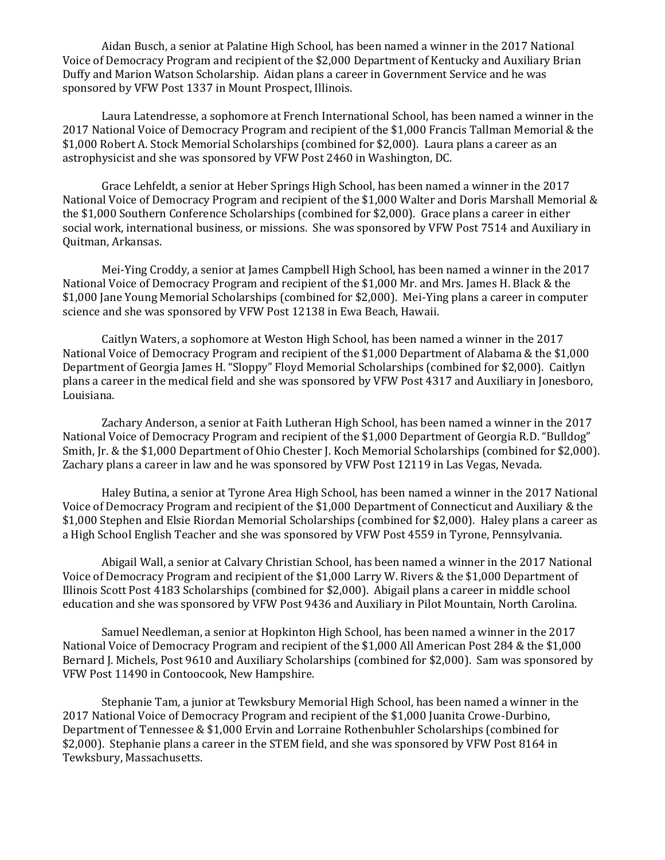Aidan Busch, a senior at Palatine High School, has been named a winner in the 2017 National Voice of Democracy Program and recipient of the \$2,000 Department of Kentucky and Auxiliary Brian Duffy and Marion Watson Scholarship. Aidan plans a career in Government Service and he was sponsored by VFW Post 1337 in Mount Prospect, Illinois.

Laura Latendresse, a sophomore at French International School, has been named a winner in the 2017 National Voice of Democracy Program and recipient of the \$1,000 Francis Tallman Memorial & the \$1,000 Robert A. Stock Memorial Scholarships (combined for \$2,000). Laura plans a career as an astrophysicist and she was sponsored by VFW Post 2460 in Washington, DC.

Grace Lehfeldt, a senior at Heber Springs High School, has been named a winner in the 2017 National Voice of Democracy Program and recipient of the \$1,000 Walter and Doris Marshall Memorial & the \$1,000 Southern Conference Scholarships (combined for \$2,000). Grace plans a career in either social work, international business, or missions. She was sponsored by VFW Post 7514 and Auxiliary in Quitman, Arkansas.

Mei-Ying Croddy, a senior at James Campbell High School, has been named a winner in the 2017 National Voice of Democracy Program and recipient of the \$1,000 Mr. and Mrs. James H. Black & the \$1,000 Jane Young Memorial Scholarships (combined for \$2,000). Mei-Ying plans a career in computer science and she was sponsored by VFW Post 12138 in Ewa Beach, Hawaii.

Caitlyn Waters, a sophomore at Weston High School, has been named a winner in the 2017 National Voice of Democracy Program and recipient of the \$1,000 Department of Alabama & the \$1,000 Department of Georgia James H. "Sloppy" Floyd Memorial Scholarships (combined for \$2,000). Caitlyn plans a career in the medical field and she was sponsored by VFW Post 4317 and Auxiliary in Jonesboro, Louisiana.

Zachary Anderson, a senior at Faith Lutheran High School, has been named a winner in the 2017 National Voice of Democracy Program and recipient of the \$1,000 Department of Georgia R.D. "Bulldog" Smith, Jr. & the \$1,000 Department of Ohio Chester J. Koch Memorial Scholarships (combined for \$2,000). Zachary plans a career in law and he was sponsored by VFW Post 12119 in Las Vegas, Nevada.

Haley Butina, a senior at Tyrone Area High School, has been named a winner in the 2017 National Voice of Democracy Program and recipient of the \$1,000 Department of Connecticut and Auxiliary & the \$1,000 Stephen and Elsie Riordan Memorial Scholarships (combined for \$2,000). Haley plans a career as a High School English Teacher and she was sponsored by VFW Post 4559 in Tyrone, Pennsylvania.

Abigail Wall, a senior at Calvary Christian School, has been named a winner in the 2017 National Voice of Democracy Program and recipient of the \$1,000 Larry W. Rivers & the \$1,000 Department of Illinois Scott Post 4183 Scholarships (combined for \$2,000). Abigail plans a career in middle school education and she was sponsored by VFW Post 9436 and Auxiliary in Pilot Mountain, North Carolina.

Samuel Needleman, a senior at Hopkinton High School, has been named a winner in the 2017 National Voice of Democracy Program and recipient of the \$1,000 All American Post 284 & the \$1,000 Bernard J. Michels, Post 9610 and Auxiliary Scholarships (combined for \$2,000). Sam was sponsored by VFW Post 11490 in Contoocook, New Hampshire.

Stephanie Tam, a junior at Tewksbury Memorial High School, has been named a winner in the 2017 National Voice of Democracy Program and recipient of the \$1,000 Juanita Crowe-Durbino, Department of Tennessee & \$1,000 Ervin and Lorraine Rothenbuhler Scholarships (combined for \$2,000). Stephanie plans a career in the STEM field, and she was sponsored by VFW Post 8164 in Tewksbury, Massachusetts.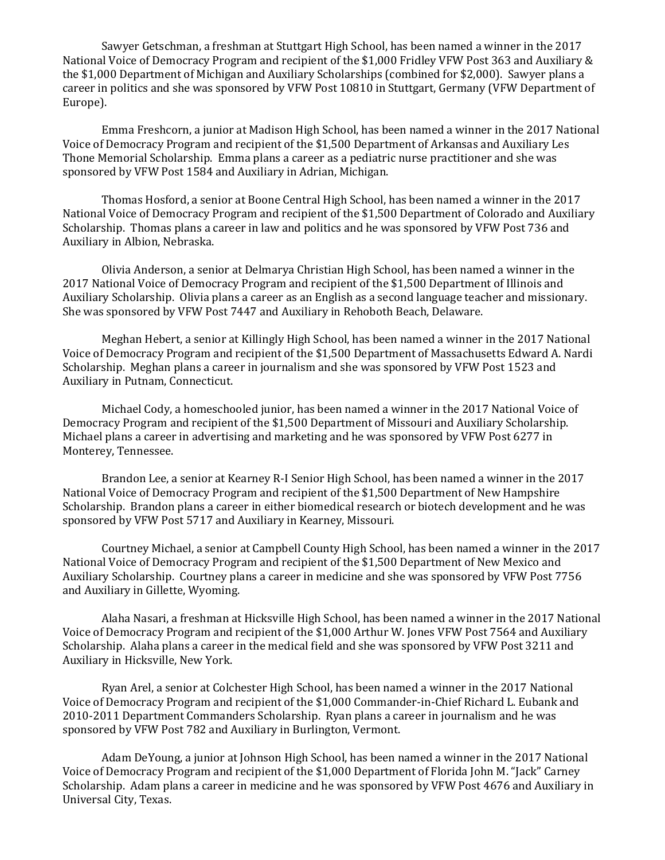Sawyer Getschman, a freshman at Stuttgart High School, has been named a winner in the 2017 National Voice of Democracy Program and recipient of the \$1,000 Fridley VFW Post 363 and Auxiliary & the \$1,000 Department of Michigan and Auxiliary Scholarships (combined for \$2,000). Sawyer plans a career in politics and she was sponsored by VFW Post 10810 in Stuttgart, Germany (VFW Department of Europe).

Emma Freshcorn, a junior at Madison High School, has been named a winner in the 2017 National Voice of Democracy Program and recipient of the \$1,500 Department of Arkansas and Auxiliary Les Thone Memorial Scholarship. Emma plans a career as a pediatric nurse practitioner and she was sponsored by VFW Post 1584 and Auxiliary in Adrian, Michigan.

Thomas Hosford, a senior at Boone Central High School, has been named a winner in the 2017 National Voice of Democracy Program and recipient of the \$1,500 Department of Colorado and Auxiliary Scholarship. Thomas plans a career in law and politics and he was sponsored by VFW Post 736 and Auxiliary in Albion, Nebraska.

Olivia Anderson, a senior at Delmarya Christian High School, has been named a winner in the 2017 National Voice of Democracy Program and recipient of the \$1,500 Department of Illinois and Auxiliary Scholarship. Olivia plans a career as an English as a second language teacher and missionary. She was sponsored by VFW Post 7447 and Auxiliary in Rehoboth Beach, Delaware.

Meghan Hebert, a senior at Killingly High School, has been named a winner in the 2017 National Voice of Democracy Program and recipient of the \$1,500 Department of Massachusetts Edward A. Nardi Scholarship. Meghan plans a career in journalism and she was sponsored by VFW Post 1523 and Auxiliary in Putnam, Connecticut.

Michael Cody, a homeschooled junior, has been named a winner in the 2017 National Voice of Democracy Program and recipient of the \$1,500 Department of Missouri and Auxiliary Scholarship. Michael plans a career in advertising and marketing and he was sponsored by VFW Post 6277 in Monterey, Tennessee.

Brandon Lee, a senior at Kearney R-I Senior High School, has been named a winner in the 2017 National Voice of Democracy Program and recipient of the \$1,500 Department of New Hampshire Scholarship. Brandon plans a career in either biomedical research or biotech development and he was sponsored by VFW Post 5717 and Auxiliary in Kearney, Missouri.

Courtney Michael, a senior at Campbell County High School, has been named a winner in the 2017 National Voice of Democracy Program and recipient of the \$1,500 Department of New Mexico and Auxiliary Scholarship. Courtney plans a career in medicine and she was sponsored by VFW Post 7756 and Auxiliary in Gillette, Wyoming.

Alaha Nasari, a freshman at Hicksville High School, has been named a winner in the 2017 National Voice of Democracy Program and recipient of the \$1,000 Arthur W. Jones VFW Post 7564 and Auxiliary Scholarship. Alaha plans a career in the medical field and she was sponsored by VFW Post 3211 and Auxiliary in Hicksville, New York.

Ryan Arel, a senior at Colchester High School, has been named a winner in the 2017 National Voice of Democracy Program and recipient of the \$1,000 Commander-in-Chief Richard L. Eubank and 2010-2011 Department Commanders Scholarship. Ryan plans a career in journalism and he was sponsored by VFW Post 782 and Auxiliary in Burlington, Vermont.

Adam DeYoung, a junior at Johnson High School, has been named a winner in the 2017 National Voice of Democracy Program and recipient of the \$1,000 Department of Florida John M. "Jack" Carney Scholarship. Adam plans a career in medicine and he was sponsored by VFW Post 4676 and Auxiliary in Universal City, Texas.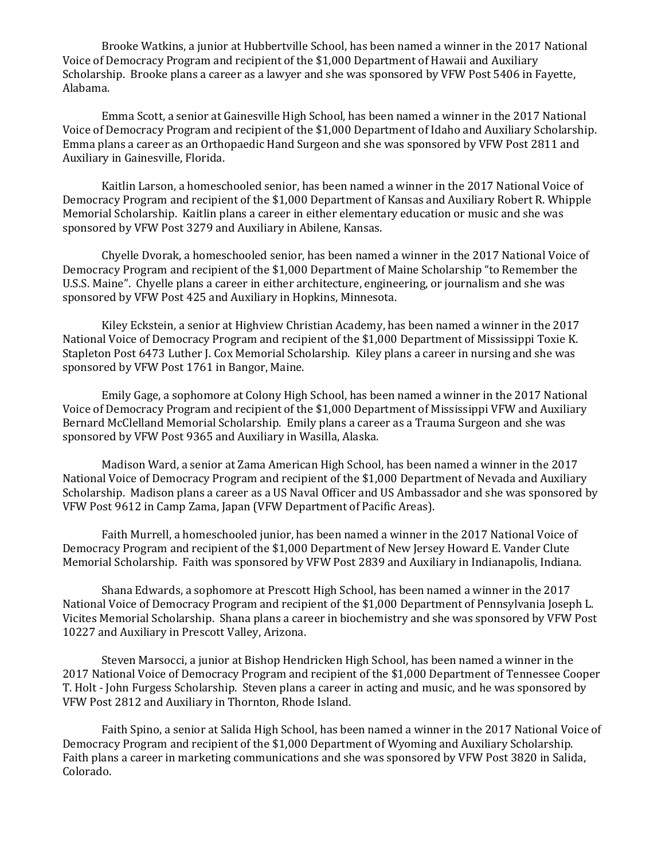Brooke Watkins, a junior at Hubbertville School, has been named a winner in the 2017 National Voice of Democracy Program and recipient of the \$1,000 Department of Hawaii and Auxiliary Scholarship. Brooke plans a career as a lawyer and she was sponsored by VFW Post 5406 in Fayette, Alabama.

Emma Scott, a senior at Gainesville High School, has been named a winner in the 2017 National Voice of Democracy Program and recipient of the \$1,000 Department of Idaho and Auxiliary Scholarship. Emma plans a career as an Orthopaedic Hand Surgeon and she was sponsored by VFW Post 2811 and Auxiliary in Gainesville, Florida.

Kaitlin Larson, a homeschooled senior, has been named a winner in the 2017 National Voice of Democracy Program and recipient of the \$1,000 Department of Kansas and Auxiliary Robert R. Whipple Memorial Scholarship. Kaitlin plans a career in either elementary education or music and she was sponsored by VFW Post 3279 and Auxiliary in Abilene, Kansas.

Chyelle Dvorak, a homeschooled senior, has been named a winner in the 2017 National Voice of Democracy Program and recipient of the \$1,000 Department of Maine Scholarship "to Remember the U.S.S. Maine". Chyelle plans a career in either architecture, engineering, or journalism and she was sponsored by VFW Post 425 and Auxiliary in Hopkins, Minnesota.

Kiley Eckstein, a senior at Highview Christian Academy, has been named a winner in the 2017 National Voice of Democracy Program and recipient of the \$1,000 Department of Mississippi Toxie K. Stapleton Post 6473 Luther J. Cox Memorial Scholarship. Kiley plans a career in nursing and she was sponsored by VFW Post 1761 in Bangor, Maine.

Emily Gage, a sophomore at Colony High School, has been named a winner in the 2017 National Voice of Democracy Program and recipient of the \$1,000 Department of Mississippi VFW and Auxiliary Bernard McClelland Memorial Scholarship. Emily plans a career as a Trauma Surgeon and she was sponsored by VFW Post 9365 and Auxiliary in Wasilla, Alaska.

Madison Ward, a senior at Zama American High School, has been named a winner in the 2017 National Voice of Democracy Program and recipient of the \$1,000 Department of Nevada and Auxiliary Scholarship. Madison plans a career as a US Naval Officer and US Ambassador and she was sponsored by VFW Post 9612 in Camp Zama, Japan (VFW Department of Pacific Areas).

Faith Murrell, a homeschooled junior, has been named a winner in the 2017 National Voice of Democracy Program and recipient of the \$1,000 Department of New Jersey Howard E. Vander Clute Memorial Scholarship. Faith was sponsored by VFW Post 2839 and Auxiliary in Indianapolis, Indiana.

Shana Edwards, a sophomore at Prescott High School, has been named a winner in the 2017 National Voice of Democracy Program and recipient of the \$1,000 Department of Pennsylvania Joseph L. Vicites Memorial Scholarship. Shana plans a career in biochemistry and she was sponsored by VFW Post 10227 and Auxiliary in Prescott Valley, Arizona.

Steven Marsocci, a junior at Bishop Hendricken High School, has been named a winner in the 2017 National Voice of Democracy Program and recipient of the \$1,000 Department of Tennessee Cooper T. Holt - John Furgess Scholarship. Steven plans a career in acting and music, and he was sponsored by VFW Post 2812 and Auxiliary in Thornton, Rhode Island.

Faith Spino, a senior at Salida High School, has been named a winner in the 2017 National Voice of Democracy Program and recipient of the \$1,000 Department of Wyoming and Auxiliary Scholarship. Faith plans a career in marketing communications and she was sponsored by VFW Post 3820 in Salida, Colorado.